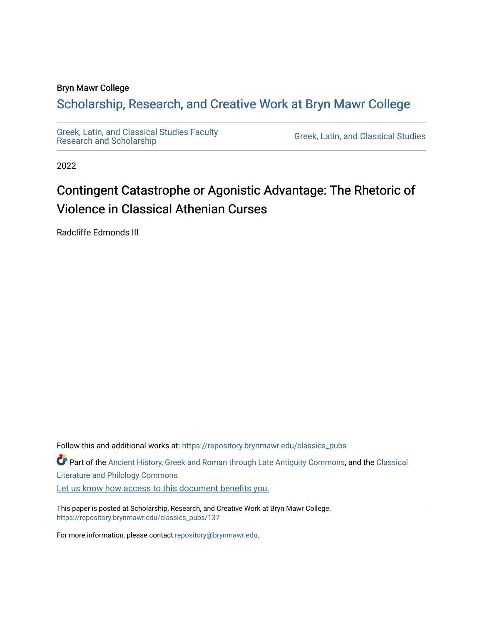# Bryn Mawr College

# Scholarship, Research, and Creative Work at Bryn Mawr College

[Greek, Latin, and Classical Studies Faculty](https://repository.brynmawr.edu/classics_pubs) 

Greek, Latin, and Classical Studies

2022

# Contingent Catastrophe or Agonistic Advantage: The Rhetoric of Violence in Classical Athenian Curses

Radcliffe Edmonds III

Follow this and additional works at: [https://repository.brynmawr.edu/classics\\_pubs](https://repository.brynmawr.edu/classics_pubs?utm_source=repository.brynmawr.edu%2Fclassics_pubs%2F137&utm_medium=PDF&utm_campaign=PDFCoverPages)  Part of the [Ancient History, Greek and Roman through Late Antiquity Commons](http://network.bepress.com/hgg/discipline/447?utm_source=repository.brynmawr.edu%2Fclassics_pubs%2F137&utm_medium=PDF&utm_campaign=PDFCoverPages), and the [Classical](http://network.bepress.com/hgg/discipline/451?utm_source=repository.brynmawr.edu%2Fclassics_pubs%2F137&utm_medium=PDF&utm_campaign=PDFCoverPages)  [Literature and Philology Commons](http://network.bepress.com/hgg/discipline/451?utm_source=repository.brynmawr.edu%2Fclassics_pubs%2F137&utm_medium=PDF&utm_campaign=PDFCoverPages) [Let us know how access to this document benefits you.](http://repository.brynmawr.edu/open-access-feedback.html) 

This paper is posted at Scholarship, Research, and Creative Work at Bryn Mawr College. [https://repository.brynmawr.edu/classics\\_pubs/137](https://repository.brynmawr.edu/classics_pubs/137) 

For more information, please contact [repository@brynmawr.edu.](mailto:repository@brynmawr.edu)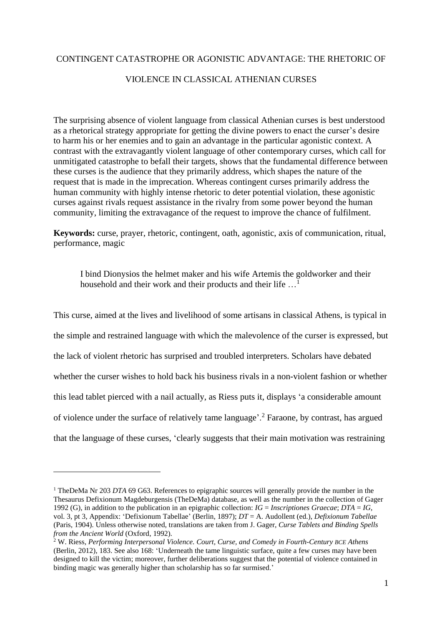## CONTINGENT CATASTROPHE OR AGONISTIC ADVANTAGE: THE RHETORIC OF

### VIOLENCE IN CLASSICAL ATHENIAN CURSES

The surprising absence of violent language from classical Athenian curses is best understood as a rhetorical strategy appropriate for getting the divine powers to enact the curser's desire to harm his or her enemies and to gain an advantage in the particular agonistic context. A contrast with the extravagantly violent language of other contemporary curses, which call for unmitigated catastrophe to befall their targets, shows that the fundamental difference between these curses is the audience that they primarily address, which shapes the nature of the request that is made in the imprecation. Whereas contingent curses primarily address the human community with highly intense rhetoric to deter potential violation, these agonistic curses against rivals request assistance in the rivalry from some power beyond the human community, limiting the extravagance of the request to improve the chance of fulfilment.

**Keywords:** curse, prayer, rhetoric, contingent, oath, agonistic, axis of communication, ritual, performance, magic

I bind Dionysios the helmet maker and his wife Artemis the goldworker and their household and their work and their products and their life ...

This curse, aimed at the lives and livelihood of some artisans in classical Athens, is typical in the simple and restrained language with which the malevolence of the curser is expressed, but the lack of violent rhetoric has surprised and troubled interpreters. Scholars have debated whether the curser wishes to hold back his business rivals in a non-violent fashion or whether this lead tablet pierced with a nail actually, as Riess puts it, displays 'a considerable amount of violence under the surface of relatively tame language'.<sup>2</sup> Faraone, by contrast, has argued that the language of these curses, 'clearly suggests that their main motivation was restraining

<sup>&</sup>lt;sup>1</sup> TheDeMa Nr 203 *DTA* 69 G63. References to epigraphic sources will generally provide the number in the Thesaurus Defixionum Magdeburgensis (TheDeMa) database, as well as the number in the collection of Gager 1992 (G), in addition to the publication in an epigraphic collection: *IG* = *Inscriptiones Graecae*; *DTA* = *IG*, vol. 3, pt 3, Appendix: 'Defixionum Tabellae' (Berlin, 1897); *DT* = A. Audollent (ed.), *Defixionum Tabellae* (Paris, 1904). Unless otherwise noted, translations are taken from J. Gager, *Curse Tablets and Binding Spells from the Ancient World* (Oxford, 1992).

<sup>2</sup> W. Riess, *Performing Interpersonal Violence. Court, Curse, and Comedy in Fourth-Century BCE Athens* (Berlin, 2012), 183. See also 168: 'Underneath the tame linguistic surface, quite a few curses may have been designed to kill the victim; moreover, further deliberations suggest that the potential of violence contained in binding magic was generally higher than scholarship has so far surmised.'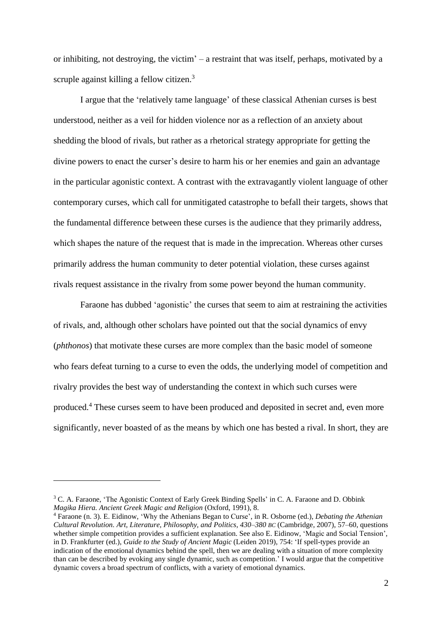or inhibiting, not destroying, the victim' – a restraint that was itself, perhaps, motivated by a scruple against killing a fellow citizen.<sup>3</sup>

I argue that the 'relatively tame language' of these classical Athenian curses is best understood, neither as a veil for hidden violence nor as a reflection of an anxiety about shedding the blood of rivals, but rather as a rhetorical strategy appropriate for getting the divine powers to enact the curser's desire to harm his or her enemies and gain an advantage in the particular agonistic context. A contrast with the extravagantly violent language of other contemporary curses, which call for unmitigated catastrophe to befall their targets, shows that the fundamental difference between these curses is the audience that they primarily address, which shapes the nature of the request that is made in the imprecation. Whereas other curses primarily address the human community to deter potential violation, these curses against rivals request assistance in the rivalry from some power beyond the human community.

Faraone has dubbed 'agonistic' the curses that seem to aim at restraining the activities of rivals, and, although other scholars have pointed out that the social dynamics of envy (*phthonos*) that motivate these curses are more complex than the basic model of someone who fears defeat turning to a curse to even the odds, the underlying model of competition and rivalry provides the best way of understanding the context in which such curses were produced.<sup>4</sup> These curses seem to have been produced and deposited in secret and, even more significantly, never boasted of as the means by which one has bested a rival. In short, they are

<sup>&</sup>lt;sup>3</sup> C. A. Faraone, 'The Agonistic Context of Early Greek Binding Spells' in C. A. Faraone and D. Obbink *Magika Hiera. Ancient Greek Magic and Religion* (Oxford, 1991), 8.

<sup>4</sup> Faraone (n. 3). E. Eidinow, 'Why the Athenians Began to Curse', in R. Osborne (ed.), *Debating the Athenian Cultural Revolution. Art, Literature, Philosophy, and Politics, 430–380 BC* (Cambridge, 2007), 57–60, questions whether simple competition provides a sufficient explanation. See also E. Eidinow, 'Magic and Social Tension', in D. Frankfurter (ed.), *Guide to the Study of Ancient Magic* (Leiden 2019), 754: 'If spell-types provide an indication of the emotional dynamics behind the spell, then we are dealing with a situation of more complexity than can be described by evoking any single dynamic, such as competition.' I would argue that the competitive dynamic covers a broad spectrum of conflicts, with a variety of emotional dynamics.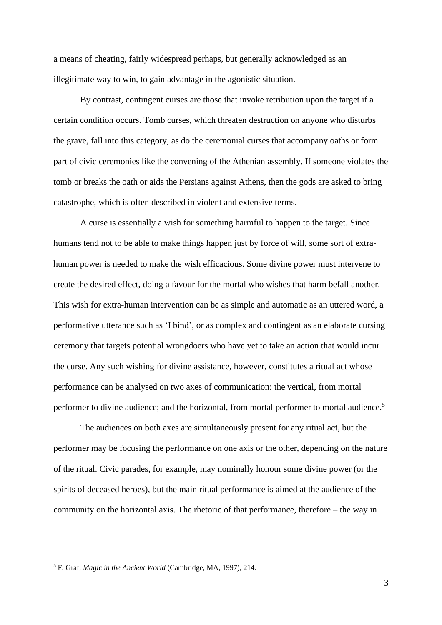a means of cheating, fairly widespread perhaps, but generally acknowledged as an illegitimate way to win, to gain advantage in the agonistic situation.

By contrast, contingent curses are those that invoke retribution upon the target if a certain condition occurs. Tomb curses, which threaten destruction on anyone who disturbs the grave, fall into this category, as do the ceremonial curses that accompany oaths or form part of civic ceremonies like the convening of the Athenian assembly. If someone violates the tomb or breaks the oath or aids the Persians against Athens, then the gods are asked to bring catastrophe, which is often described in violent and extensive terms.

A curse is essentially a wish for something harmful to happen to the target. Since humans tend not to be able to make things happen just by force of will, some sort of extrahuman power is needed to make the wish efficacious. Some divine power must intervene to create the desired effect, doing a favour for the mortal who wishes that harm befall another. This wish for extra-human intervention can be as simple and automatic as an uttered word, a performative utterance such as 'I bind', or as complex and contingent as an elaborate cursing ceremony that targets potential wrongdoers who have yet to take an action that would incur the curse. Any such wishing for divine assistance, however, constitutes a ritual act whose performance can be analysed on two axes of communication: the vertical, from mortal performer to divine audience; and the horizontal, from mortal performer to mortal audience.<sup>5</sup>

The audiences on both axes are simultaneously present for any ritual act, but the performer may be focusing the performance on one axis or the other, depending on the nature of the ritual. Civic parades, for example, may nominally honour some divine power (or the spirits of deceased heroes), but the main ritual performance is aimed at the audience of the community on the horizontal axis. The rhetoric of that performance, therefore – the way in

<sup>5</sup> F. Graf, *Magic in the Ancient World* (Cambridge, MA, 1997), 214.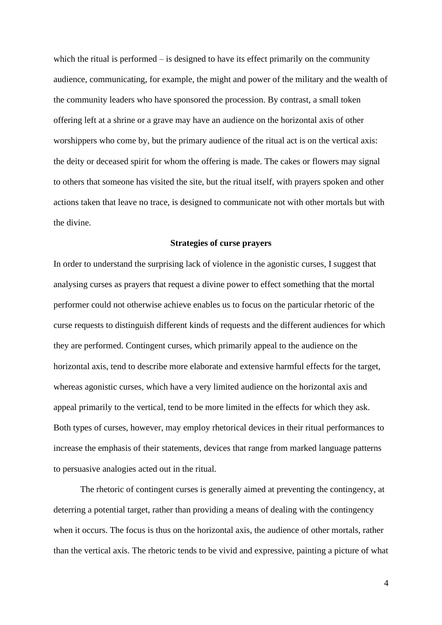which the ritual is performed – is designed to have its effect primarily on the community audience, communicating, for example, the might and power of the military and the wealth of the community leaders who have sponsored the procession. By contrast, a small token offering left at a shrine or a grave may have an audience on the horizontal axis of other worshippers who come by, but the primary audience of the ritual act is on the vertical axis: the deity or deceased spirit for whom the offering is made. The cakes or flowers may signal to others that someone has visited the site, but the ritual itself, with prayers spoken and other actions taken that leave no trace, is designed to communicate not with other mortals but with the divine.

#### **Strategies of curse prayers**

In order to understand the surprising lack of violence in the agonistic curses, I suggest that analysing curses as prayers that request a divine power to effect something that the mortal performer could not otherwise achieve enables us to focus on the particular rhetoric of the curse requests to distinguish different kinds of requests and the different audiences for which they are performed. Contingent curses, which primarily appeal to the audience on the horizontal axis, tend to describe more elaborate and extensive harmful effects for the target, whereas agonistic curses, which have a very limited audience on the horizontal axis and appeal primarily to the vertical, tend to be more limited in the effects for which they ask. Both types of curses, however, may employ rhetorical devices in their ritual performances to increase the emphasis of their statements, devices that range from marked language patterns to persuasive analogies acted out in the ritual.

The rhetoric of contingent curses is generally aimed at preventing the contingency, at deterring a potential target, rather than providing a means of dealing with the contingency when it occurs. The focus is thus on the horizontal axis, the audience of other mortals, rather than the vertical axis. The rhetoric tends to be vivid and expressive, painting a picture of what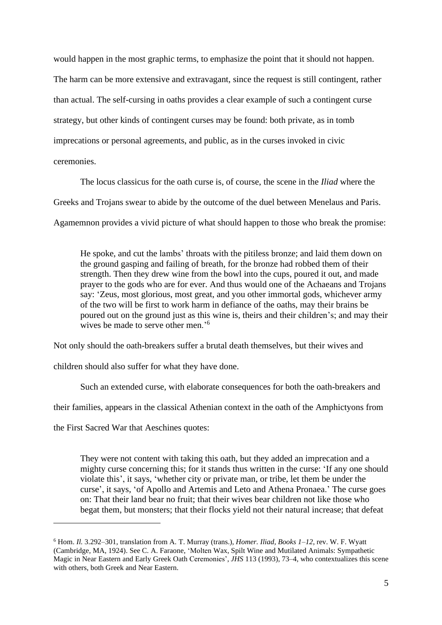would happen in the most graphic terms, to emphasize the point that it should not happen. The harm can be more extensive and extravagant, since the request is still contingent, rather than actual. The self-cursing in oaths provides a clear example of such a contingent curse strategy, but other kinds of contingent curses may be found: both private, as in tomb imprecations or personal agreements, and public, as in the curses invoked in civic ceremonies.

The locus classicus for the oath curse is, of course, the scene in the *Iliad* where the Greeks and Trojans swear to abide by the outcome of the duel between Menelaus and Paris. Agamemnon provides a vivid picture of what should happen to those who break the promise:

He spoke, and cut the lambs' throats with the pitiless bronze; and laid them down on the ground gasping and failing of breath, for the bronze had robbed them of their strength. Then they drew wine from the bowl into the cups, poured it out, and made prayer to the gods who are for ever. And thus would one of the Achaeans and Trojans say: 'Zeus, most glorious, most great, and you other immortal gods, whichever army of the two will be first to work harm in defiance of the oaths, may their brains be poured out on the ground just as this wine is, theirs and their children's; and may their wives be made to serve other men.'<sup>6</sup>

Not only should the oath-breakers suffer a brutal death themselves, but their wives and

children should also suffer for what they have done.

Such an extended curse, with elaborate consequences for both the oath-breakers and

their families, appears in the classical Athenian context in the oath of the Amphictyons from

the First Sacred War that Aeschines quotes:

They were not content with taking this oath, but they added an imprecation and a mighty curse concerning this; for it stands thus written in the curse: 'If any one should violate this', it says, 'whether city or private man, or tribe, let them be under the curse', it says, 'of Apollo and Artemis and Leto and Athena Pronaea.' The curse goes on: That their land bear no fruit; that their wives bear children not like those who begat them, but monsters; that their flocks yield not their natural increase; that defeat

<sup>6</sup> Hom. *Il.* 3.292–301, translation from A. T. Murray (trans.), *Homer. Iliad, Books 1–12*, rev. W. F. Wyatt (Cambridge, MA, 1924). See C. A. Faraone, 'Molten Wax, Spilt Wine and Mutilated Animals: Sympathetic Magic in Near Eastern and Early Greek Oath Ceremonies', *JHS* 113 (1993), 73–4, who contextualizes this scene with others, both Greek and Near Eastern.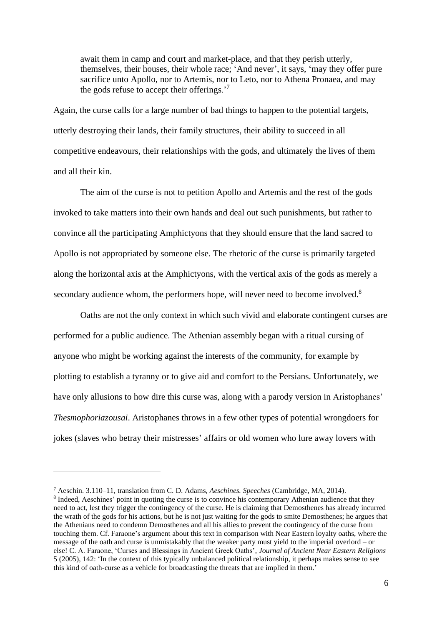await them in camp and court and market-place, and that they perish utterly, themselves, their houses, their whole race; 'And never', it says, 'may they offer pure sacrifice unto Apollo, nor to Artemis, nor to Leto, nor to Athena Pronaea, and may the gods refuse to accept their offerings.<sup>'7</sup>

Again, the curse calls for a large number of bad things to happen to the potential targets, utterly destroying their lands, their family structures, their ability to succeed in all competitive endeavours, their relationships with the gods, and ultimately the lives of them and all their kin.

The aim of the curse is not to petition Apollo and Artemis and the rest of the gods invoked to take matters into their own hands and deal out such punishments, but rather to convince all the participating Amphictyons that they should ensure that the land sacred to Apollo is not appropriated by someone else. The rhetoric of the curse is primarily targeted along the horizontal axis at the Amphictyons, with the vertical axis of the gods as merely a secondary audience whom, the performers hope, will never need to become involved.<sup>8</sup>

Oaths are not the only context in which such vivid and elaborate contingent curses are performed for a public audience. The Athenian assembly began with a ritual cursing of anyone who might be working against the interests of the community, for example by plotting to establish a tyranny or to give aid and comfort to the Persians. Unfortunately, we have only allusions to how dire this curse was, along with a parody version in Aristophanes' *Thesmophoriazousai*. Aristophanes throws in a few other types of potential wrongdoers for jokes (slaves who betray their mistresses' affairs or old women who lure away lovers with

<sup>7</sup> Aeschin. 3.110–11, translation from C. D. Adams, *Aeschines. Speeches* (Cambridge, MA, 2014).

<sup>&</sup>lt;sup>8</sup> Indeed, Aeschines' point in quoting the curse is to convince his contemporary Athenian audience that they need to act, lest they trigger the contingency of the curse. He is claiming that Demosthenes has already incurred the wrath of the gods for his actions, but he is not just waiting for the gods to smite Demosthenes; he argues that the Athenians need to condemn Demosthenes and all his allies to prevent the contingency of the curse from touching them. Cf. Faraone's argument about this text in comparison with Near Eastern loyalty oaths, where the message of the oath and curse is unmistakably that the weaker party must yield to the imperial overlord – or else! C. A. Faraone, 'Curses and Blessings in Ancient Greek Oaths', *Journal of Ancient Near Eastern Religions* 5 (2005), 142: 'In the context of this typically unbalanced political relationship, it perhaps makes sense to see this kind of oath-curse as a vehicle for broadcasting the threats that are implied in them.'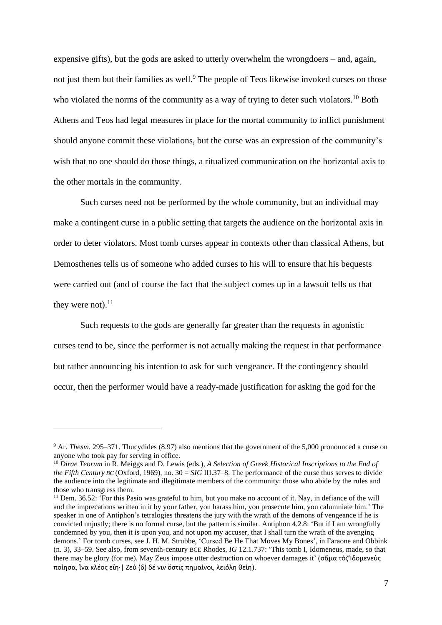expensive gifts), but the gods are asked to utterly overwhelm the wrongdoers – and, again, not just them but their families as well.<sup>9</sup> The people of Teos likewise invoked curses on those who violated the norms of the community as a way of trying to deter such violators.<sup>10</sup> Both Athens and Teos had legal measures in place for the mortal community to inflict punishment should anyone commit these violations, but the curse was an expression of the community's wish that no one should do those things, a ritualized communication on the horizontal axis to the other mortals in the community.

Such curses need not be performed by the whole community, but an individual may make a contingent curse in a public setting that targets the audience on the horizontal axis in order to deter violators. Most tomb curses appear in contexts other than classical Athens, but Demosthenes tells us of someone who added curses to his will to ensure that his bequests were carried out (and of course the fact that the subject comes up in a lawsuit tells us that they were not). $^{11}$ 

Such requests to the gods are generally far greater than the requests in agonistic curses tend to be, since the performer is not actually making the request in that performance but rather announcing his intention to ask for such vengeance. If the contingency should occur, then the performer would have a ready-made justification for asking the god for the

<sup>&</sup>lt;sup>9</sup> Ar. *Thesm*. 295–371. Thucydides (8.97) also mentions that the government of the 5,000 pronounced a curse on anyone who took pay for serving in office.

<sup>10</sup> *Dirae Teorum* in R. Meiggs and D. Lewis (eds.), *A Selection of Greek Historical Inscriptions to the End of the Fifth Century BC* (Oxford, 1969), no. 30 = *SIG* III.37–8. The performance of the curse thus serves to divide the audience into the legitimate and illegitimate members of the community: those who abide by the rules and those who transgress them.

 $11$  Dem. 36.52: 'For this Pasio was grateful to him, but you make no account of it. Nay, in defiance of the will and the imprecations written in it by your father, you harass him, you prosecute him, you calumniate him.' The speaker in one of Antiphon's tetralogies threatens the jury with the wrath of the demons of vengeance if he is convicted unjustly; there is no formal curse, but the pattern is similar. Antiphon 4.2.8: 'But if I am wrongfully condemned by you, then it is upon you, and not upon my accuser, that I shall turn the wrath of the avenging demons.' For tomb curses, see J. H. M. Strubbe, 'Cursed Be He That Moves My Bones', in Faraone and Obbink (n. 3), 33–59. See also, from seventh-century BCE Rhodes, *IG* 12.1.737: 'This tomb I, Idomeneus, made, so that there may be glory (for me). May Zeus impose utter destruction on whoever damages it' (σᾶμα τόζ'Ίδομενεὺς ποίησα, ἵνα κλέος εἴη·| Ζεὺ (δ) δέ νιν ὅστις πημαίνοι, λειόλη θείη).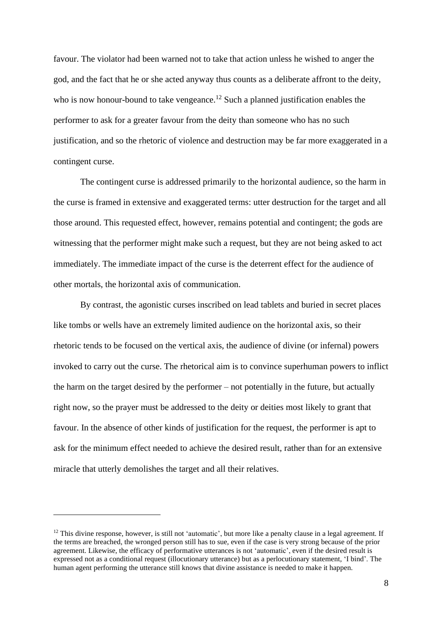favour. The violator had been warned not to take that action unless he wished to anger the god, and the fact that he or she acted anyway thus counts as a deliberate affront to the deity, who is now honour-bound to take vengeance.<sup>12</sup> Such a planned justification enables the performer to ask for a greater favour from the deity than someone who has no such justification, and so the rhetoric of violence and destruction may be far more exaggerated in a contingent curse.

The contingent curse is addressed primarily to the horizontal audience, so the harm in the curse is framed in extensive and exaggerated terms: utter destruction for the target and all those around. This requested effect, however, remains potential and contingent; the gods are witnessing that the performer might make such a request, but they are not being asked to act immediately. The immediate impact of the curse is the deterrent effect for the audience of other mortals, the horizontal axis of communication.

By contrast, the agonistic curses inscribed on lead tablets and buried in secret places like tombs or wells have an extremely limited audience on the horizontal axis, so their rhetoric tends to be focused on the vertical axis, the audience of divine (or infernal) powers invoked to carry out the curse. The rhetorical aim is to convince superhuman powers to inflict the harm on the target desired by the performer – not potentially in the future, but actually right now, so the prayer must be addressed to the deity or deities most likely to grant that favour. In the absence of other kinds of justification for the request, the performer is apt to ask for the minimum effect needed to achieve the desired result, rather than for an extensive miracle that utterly demolishes the target and all their relatives.

 $12$  This divine response, however, is still not 'automatic', but more like a penalty clause in a legal agreement. If the terms are breached, the wronged person still has to sue, even if the case is very strong because of the prior agreement. Likewise, the efficacy of performative utterances is not 'automatic', even if the desired result is expressed not as a conditional request (illocutionary utterance) but as a perlocutionary statement, 'I bind'. The human agent performing the utterance still knows that divine assistance is needed to make it happen.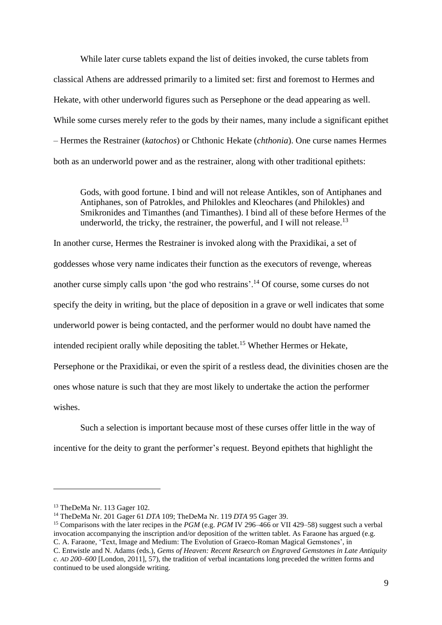While later curse tablets expand the list of deities invoked, the curse tablets from classical Athens are addressed primarily to a limited set: first and foremost to Hermes and Hekate, with other underworld figures such as Persephone or the dead appearing as well. While some curses merely refer to the gods by their names, many include a significant epithet – Hermes the Restrainer (*katochos*) or Chthonic Hekate (*chthonia*). One curse names Hermes both as an underworld power and as the restrainer, along with other traditional epithets:

Gods, with good fortune. I bind and will not release Antikles, son of Antiphanes and Antiphanes, son of Patrokles, and Philokles and Kleochares (and Philokles) and Smikronides and Timanthes (and Timanthes). I bind all of these before Hermes of the underworld, the tricky, the restrainer, the powerful, and I will not release.<sup>13</sup>

In another curse, Hermes the Restrainer is invoked along with the Praxidikai, a set of goddesses whose very name indicates their function as the executors of revenge, whereas another curse simply calls upon 'the god who restrains'.<sup>14</sup> Of course, some curses do not specify the deity in writing, but the place of deposition in a grave or well indicates that some underworld power is being contacted, and the performer would no doubt have named the intended recipient orally while depositing the tablet.<sup>15</sup> Whether Hermes or Hekate, Persephone or the Praxidikai, or even the spirit of a restless dead, the divinities chosen are the ones whose nature is such that they are most likely to undertake the action the performer wishes.

Such a selection is important because most of these curses offer little in the way of incentive for the deity to grant the performer's request. Beyond epithets that highlight the

<sup>13</sup> TheDeMa Nr. 113 Gager 102.

<sup>14</sup> TheDeMa Nr. 201 Gager 61 *DTA* 109; TheDeMa Nr. 119 *DTA* 95 Gager 39.

<sup>&</sup>lt;sup>15</sup> Comparisons with the later recipes in the *PGM* (e.g. *PGM* IV 296–466 or VII 429–58) suggest such a verbal invocation accompanying the inscription and/or deposition of the written tablet. As Faraone has argued (e.g. C. A. Faraone, 'Text, Image and Medium: The Evolution of Graeco-Roman Magical Gemstones', in

C. Entwistle and N. Adams (eds.), *Gems of Heaven: Recent Research on Engraved Gemstones in Late Antiquity c. AD 200–600* [London, 2011], 57), the tradition of verbal incantations long preceded the written forms and continued to be used alongside writing.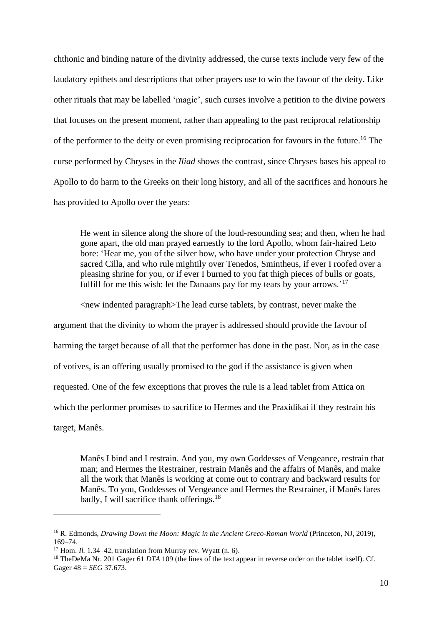chthonic and binding nature of the divinity addressed, the curse texts include very few of the laudatory epithets and descriptions that other prayers use to win the favour of the deity. Like other rituals that may be labelled 'magic', such curses involve a petition to the divine powers that focuses on the present moment, rather than appealing to the past reciprocal relationship of the performer to the deity or even promising reciprocation for favours in the future.<sup>16</sup> The curse performed by Chryses in the *Iliad* shows the contrast, since Chryses bases his appeal to Apollo to do harm to the Greeks on their long history, and all of the sacrifices and honours he has provided to Apollo over the years:

He went in silence along the shore of the loud-resounding sea; and then, when he had gone apart, the old man prayed earnestly to the lord Apollo, whom fair-haired Leto bore: 'Hear me, you of the silver bow, who have under your protection Chryse and sacred Cilla, and who rule mightily over Tenedos, Smintheus, if ever I roofed over a pleasing shrine for you, or if ever I burned to you fat thigh pieces of bulls or goats, fulfill for me this wish: let the Danaans pay for my tears by your arrows.<sup>'17</sup>

<new indented paragraph>The lead curse tablets, by contrast, never make the argument that the divinity to whom the prayer is addressed should provide the favour of harming the target because of all that the performer has done in the past. Nor, as in the case of votives, is an offering usually promised to the god if the assistance is given when requested. One of the few exceptions that proves the rule is a lead tablet from Attica on which the performer promises to sacrifice to Hermes and the Praxidikai if they restrain his target, Manês.

Manês I bind and I restrain. And you, my own Goddesses of Vengeance, restrain that man; and Hermes the Restrainer, restrain Manês and the affairs of Manês, and make all the work that Manês is working at come out to contrary and backward results for Manês. To you, Goddesses of Vengeance and Hermes the Restrainer, if Manês fares badly, I will sacrifice thank offerings.<sup>18</sup>

<sup>16</sup> R. Edmonds, *Drawing Down the Moon: Magic in the Ancient Greco-Roman World* (Princeton, NJ, 2019), 169–74.

<sup>&</sup>lt;sup>17</sup> Hom. *Il.* 1.34–42, translation from Murray rev. Wyatt (n. 6).

<sup>18</sup> TheDeMa Nr. 201 Gager 61 *DTA* 109 (the lines of the text appear in reverse order on the tablet itself). Cf. Gager 48 = *SEG* 37.673.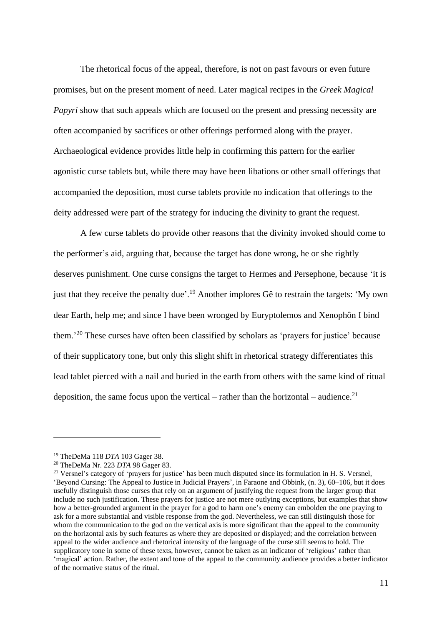The rhetorical focus of the appeal, therefore, is not on past favours or even future promises, but on the present moment of need. Later magical recipes in the *Greek Magical Papyri* show that such appeals which are focused on the present and pressing necessity are often accompanied by sacrifices or other offerings performed along with the prayer. Archaeological evidence provides little help in confirming this pattern for the earlier agonistic curse tablets but, while there may have been libations or other small offerings that accompanied the deposition, most curse tablets provide no indication that offerings to the deity addressed were part of the strategy for inducing the divinity to grant the request.

A few curse tablets do provide other reasons that the divinity invoked should come to the performer's aid, arguing that, because the target has done wrong, he or she rightly deserves punishment. One curse consigns the target to Hermes and Persephone, because 'it is just that they receive the penalty due'.<sup>19</sup> Another implores Gê to restrain the targets: 'My own dear Earth, help me; and since I have been wronged by Euryptolemos and Xenophôn I bind them.'<sup>20</sup> These curses have often been classified by scholars as 'prayers for justice' because of their supplicatory tone, but only this slight shift in rhetorical strategy differentiates this lead tablet pierced with a nail and buried in the earth from others with the same kind of ritual deposition, the same focus upon the vertical – rather than the horizontal – audience.<sup>21</sup>

<sup>19</sup> TheDeMa 118 *DTA* 103 Gager 38.

<sup>20</sup> TheDeMa Nr. 223 *DTA* 98 Gager 83.

<sup>&</sup>lt;sup>21</sup> Versnel's category of 'prayers for justice' has been much disputed since its formulation in H. S. Versnel, 'Beyond Cursing: The Appeal to Justice in Judicial Prayers', in Faraone and Obbink, (n. 3), 60–106, but it does usefully distinguish those curses that rely on an argument of justifying the request from the larger group that include no such justification. These prayers for justice are not mere outlying exceptions, but examples that show how a better-grounded argument in the prayer for a god to harm one's enemy can embolden the one praying to ask for a more substantial and visible response from the god. Nevertheless, we can still distinguish those for whom the communication to the god on the vertical axis is more significant than the appeal to the community on the horizontal axis by such features as where they are deposited or displayed; and the correlation between appeal to the wider audience and rhetorical intensity of the language of the curse still seems to hold. The supplicatory tone in some of these texts, however, cannot be taken as an indicator of 'religious' rather than 'magical' action. Rather, the extent and tone of the appeal to the community audience provides a better indicator of the normative status of the ritual.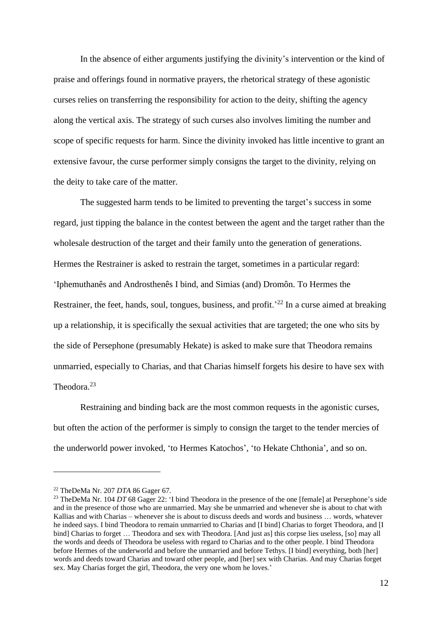In the absence of either arguments justifying the divinity's intervention or the kind of praise and offerings found in normative prayers, the rhetorical strategy of these agonistic curses relies on transferring the responsibility for action to the deity, shifting the agency along the vertical axis. The strategy of such curses also involves limiting the number and scope of specific requests for harm. Since the divinity invoked has little incentive to grant an extensive favour, the curse performer simply consigns the target to the divinity, relying on the deity to take care of the matter.

The suggested harm tends to be limited to preventing the target's success in some regard, just tipping the balance in the contest between the agent and the target rather than the wholesale destruction of the target and their family unto the generation of generations. Hermes the Restrainer is asked to restrain the target, sometimes in a particular regard: 'Iphemuthanês and Androsthenês I bind, and Simias (and) Dromôn. To Hermes the Restrainer, the feet, hands, soul, tongues, business, and profit.<sup> $22$ </sup> In a curse aimed at breaking up a relationship, it is specifically the sexual activities that are targeted; the one who sits by the side of Persephone (presumably Hekate) is asked to make sure that Theodora remains unmarried, especially to Charias, and that Charias himself forgets his desire to have sex with Theodora.<sup>23</sup>

Restraining and binding back are the most common requests in the agonistic curses, but often the action of the performer is simply to consign the target to the tender mercies of the underworld power invoked, 'to Hermes Katochos', 'to Hekate Chthonia', and so on.

<sup>22</sup> TheDeMa Nr. 207 *DTA* 86 Gager 67.

<sup>&</sup>lt;sup>23</sup> TheDeMa Nr. 104 *DT* 68 Gager 22: 'I bind Theodora in the presence of the one [female] at Persephone's side and in the presence of those who are unmarried. May she be unmarried and whenever she is about to chat with Kallias and with Charias – whenever she is about to discuss deeds and words and business … words, whatever he indeed says. I bind Theodora to remain unmarried to Charias and [I bind] Charias to forget Theodora, and [I bind] Charias to forget … Theodora and sex with Theodora. [And just as] this corpse lies useless, [so] may all the words and deeds of Theodora be useless with regard to Charias and to the other people. I bind Theodora before Hermes of the underworld and before the unmarried and before Tethys. [I bind] everything, both [her] words and deeds toward Charias and toward other people, and [her] sex with Charias. And may Charias forget sex. May Charias forget the girl, Theodora, the very one whom he loves.'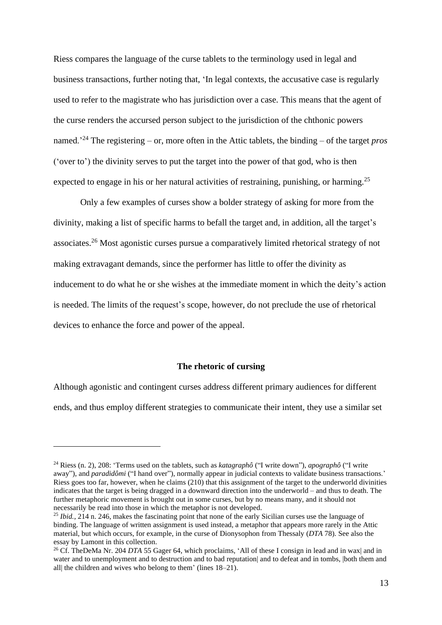Riess compares the language of the curse tablets to the terminology used in legal and business transactions, further noting that, 'In legal contexts, the accusative case is regularly used to refer to the magistrate who has jurisdiction over a case. This means that the agent of the curse renders the accursed person subject to the jurisdiction of the chthonic powers named.'<sup>24</sup> The registering – or, more often in the Attic tablets, the binding – of the target *pros* ('over to') the divinity serves to put the target into the power of that god, who is then expected to engage in his or her natural activities of restraining, punishing, or harming.<sup>25</sup>

Only a few examples of curses show a bolder strategy of asking for more from the divinity, making a list of specific harms to befall the target and, in addition, all the target's associates.<sup>26</sup> Most agonistic curses pursue a comparatively limited rhetorical strategy of not making extravagant demands, since the performer has little to offer the divinity as inducement to do what he or she wishes at the immediate moment in which the deity's action is needed. The limits of the request's scope, however, do not preclude the use of rhetorical devices to enhance the force and power of the appeal.

#### **The rhetoric of cursing**

Although agonistic and contingent curses address different primary audiences for different ends, and thus employ different strategies to communicate their intent, they use a similar set

<sup>24</sup> Riess (n. 2), 208: 'Terms used on the tablets, such as *katagraphô* ("I write down"), *apographô* ("I write away"), and *paradidômi* ("I hand over"), normally appear in judicial contexts to validate business transactions.' Riess goes too far, however, when he claims (210) that this assignment of the target to the underworld divinities indicates that the target is being dragged in a downward direction into the underworld – and thus to death. The further metaphoric movement is brought out in some curses, but by no means many, and it should not necessarily be read into those in which the metaphor is not developed.

<sup>&</sup>lt;sup>25</sup> *Ibid.*, 214 n. 246, makes the fascinating point that none of the early Sicilian curses use the language of binding. The language of written assignment is used instead, a metaphor that appears more rarely in the Attic material, but which occurs, for example, in the curse of Dionysophon from Thessaly (*DTA* 78). See also the essay by Lamont in this collection.

<sup>26</sup> Cf. TheDeMa Nr. 204 *DTA* 55 Gager 64, which proclaims, 'All of these I consign in lead and in wax| and in water and to unemployment and to destruction and to bad reputation| and to defeat and in tombs, |both them and all| the children and wives who belong to them' (lines 18–21).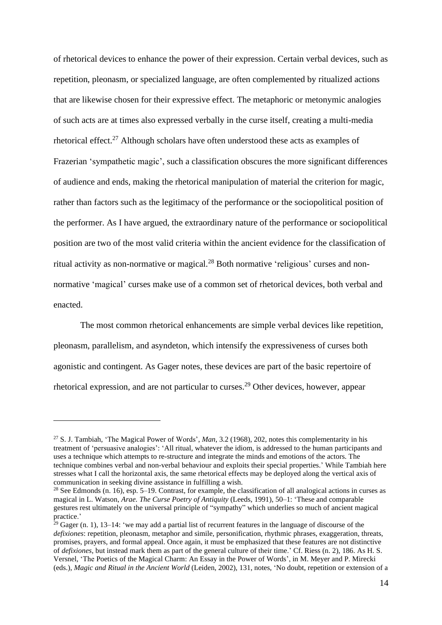of rhetorical devices to enhance the power of their expression. Certain verbal devices, such as repetition, pleonasm, or specialized language, are often complemented by ritualized actions that are likewise chosen for their expressive effect. The metaphoric or metonymic analogies of such acts are at times also expressed verbally in the curse itself, creating a multi-media rhetorical effect.<sup>27</sup> Although scholars have often understood these acts as examples of Frazerian 'sympathetic magic', such a classification obscures the more significant differences of audience and ends, making the rhetorical manipulation of material the criterion for magic, rather than factors such as the legitimacy of the performance or the sociopolitical position of the performer. As I have argued, the extraordinary nature of the performance or sociopolitical position are two of the most valid criteria within the ancient evidence for the classification of ritual activity as non-normative or magical.<sup>28</sup> Both normative 'religious' curses and nonnormative 'magical' curses make use of a common set of rhetorical devices, both verbal and enacted.

The most common rhetorical enhancements are simple verbal devices like repetition, pleonasm, parallelism, and asyndeton, which intensify the expressiveness of curses both agonistic and contingent. As Gager notes, these devices are part of the basic repertoire of rhetorical expression, and are not particular to curses.<sup>29</sup> Other devices, however, appear

<sup>27</sup> S. J. Tambiah, 'The Magical Power of Words', *Man*, 3.2 (1968), 202, notes this complementarity in his treatment of 'persuasive analogies': 'All ritual, whatever the idiom, is addressed to the human participants and uses a technique which attempts to re-structure and integrate the minds and emotions of the actors. The technique combines verbal and non-verbal behaviour and exploits their special properties.' While Tambiah here stresses what I call the horizontal axis, the same rhetorical effects may be deployed along the vertical axis of communication in seeking divine assistance in fulfilling a wish.

 $28$  See Edmonds (n. 16), esp. 5–19. Contrast, for example, the classification of all analogical actions in curses as magical in L. Watson, *Arae. The Curse Poetry of Antiquity* (Leeds, 1991), 50–1: 'These and comparable gestures rest ultimately on the universal principle of "sympathy" which underlies so much of ancient magical practice.'

 $29$  Gager (n. 1), 13–14: 'we may add a partial list of recurrent features in the language of discourse of the *defixiones*: repetition, pleonasm, metaphor and simile, personification, rhythmic phrases, exaggeration, threats, promises, prayers, and formal appeal. Once again, it must be emphasized that these features are not distinctive of *defixiones*, but instead mark them as part of the general culture of their time.' Cf. Riess (n. 2), 186. As H. S. Versnel, 'The Poetics of the Magical Charm: An Essay in the Power of Words', in M. Meyer and P. Mirecki (eds.), *Magic and Ritual in the Ancient World* (Leiden, 2002), 131, notes, 'No doubt, repetition or extension of a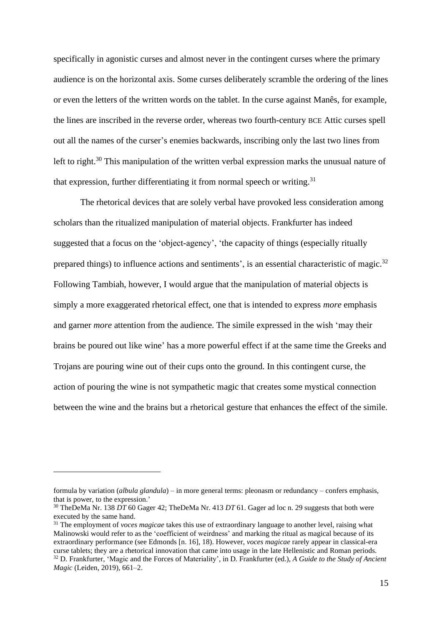specifically in agonistic curses and almost never in the contingent curses where the primary audience is on the horizontal axis. Some curses deliberately scramble the ordering of the lines or even the letters of the written words on the tablet. In the curse against Manês, for example, the lines are inscribed in the reverse order, whereas two fourth-century BCE Attic curses spell out all the names of the curser's enemies backwards, inscribing only the last two lines from left to right.<sup>30</sup> This manipulation of the written verbal expression marks the unusual nature of that expression, further differentiating it from normal speech or writing.<sup>31</sup>

The rhetorical devices that are solely verbal have provoked less consideration among scholars than the ritualized manipulation of material objects. Frankfurter has indeed suggested that a focus on the 'object-agency', 'the capacity of things (especially ritually prepared things) to influence actions and sentiments', is an essential characteristic of magic. $32$ Following Tambiah, however, I would argue that the manipulation of material objects is simply a more exaggerated rhetorical effect, one that is intended to express *more* emphasis and garner *more* attention from the audience. The simile expressed in the wish 'may their brains be poured out like wine' has a more powerful effect if at the same time the Greeks and Trojans are pouring wine out of their cups onto the ground. In this contingent curse, the action of pouring the wine is not sympathetic magic that creates some mystical connection between the wine and the brains but a rhetorical gesture that enhances the effect of the simile.

formula by variation (*albula glandula*) – in more general terms: pleonasm or redundancy – confers emphasis, that is power, to the expression.'

<sup>30</sup> TheDeMa Nr. 138 *DT* 60 Gager 42; TheDeMa Nr. 413 *DT* 61. Gager ad loc n. 29 suggests that both were executed by the same hand.

<sup>31</sup> The employment of *voces magicae* takes this use of extraordinary language to another level, raising what Malinowski would refer to as the 'coefficient of weirdness' and marking the ritual as magical because of its extraordinary performance (see Edmonds [n. 16], 18). However, *voces magicae* rarely appear in classical-era curse tablets; they are a rhetorical innovation that came into usage in the late Hellenistic and Roman periods. <sup>32</sup> D. Frankfurter, 'Magic and the Forces of Materiality', in D. Frankfurter (ed.), *A Guide to the Study of Ancient Magic* (Leiden, 2019), 661–2.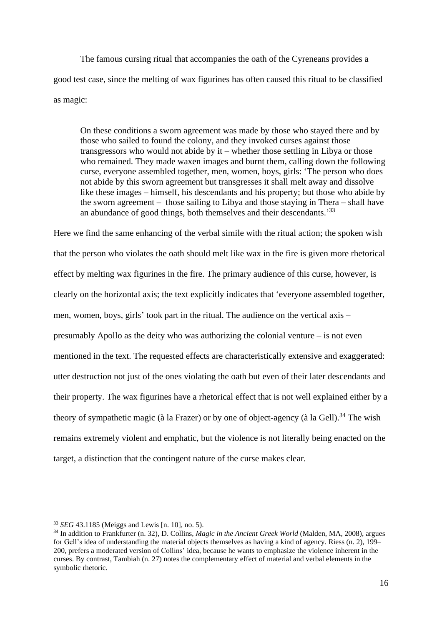The famous cursing ritual that accompanies the oath of the Cyreneans provides a good test case, since the melting of wax figurines has often caused this ritual to be classified as magic:

On these conditions a sworn agreement was made by those who stayed there and by those who sailed to found the colony, and they invoked curses against those transgressors who would not abide by it – whether those settling in Libya or those who remained. They made waxen images and burnt them, calling down the following curse, everyone assembled together, men, women, boys, girls: 'The person who does not abide by this sworn agreement but transgresses it shall melt away and dissolve like these images – himself, his descendants and his property; but those who abide by the sworn agreement – those sailing to Libya and those staying in Thera – shall have an abundance of good things, both themselves and their descendants.'<sup>33</sup>

Here we find the same enhancing of the verbal simile with the ritual action; the spoken wish that the person who violates the oath should melt like wax in the fire is given more rhetorical effect by melting wax figurines in the fire. The primary audience of this curse, however, is clearly on the horizontal axis; the text explicitly indicates that 'everyone assembled together, men, women, boys, girls' took part in the ritual. The audience on the vertical axis – presumably Apollo as the deity who was authorizing the colonial venture – is not even mentioned in the text. The requested effects are characteristically extensive and exaggerated: utter destruction not just of the ones violating the oath but even of their later descendants and their property. The wax figurines have a rhetorical effect that is not well explained either by a theory of sympathetic magic (à la Frazer) or by one of object-agency (à la Gell).<sup>34</sup> The wish remains extremely violent and emphatic, but the violence is not literally being enacted on the target, a distinction that the contingent nature of the curse makes clear.

<sup>33</sup> *SEG* 43.1185 (Meiggs and Lewis [n. 10], no. 5).

<sup>34</sup> In addition to Frankfurter (n. 32), D. Collins, *Magic in the Ancient Greek World* (Malden, MA, 2008), argues for Gell's idea of understanding the material objects themselves as having a kind of agency. Riess (n. 2), 199– 200, prefers a moderated version of Collins' idea, because he wants to emphasize the violence inherent in the curses. By contrast, Tambiah (n. 27) notes the complementary effect of material and verbal elements in the symbolic rhetoric.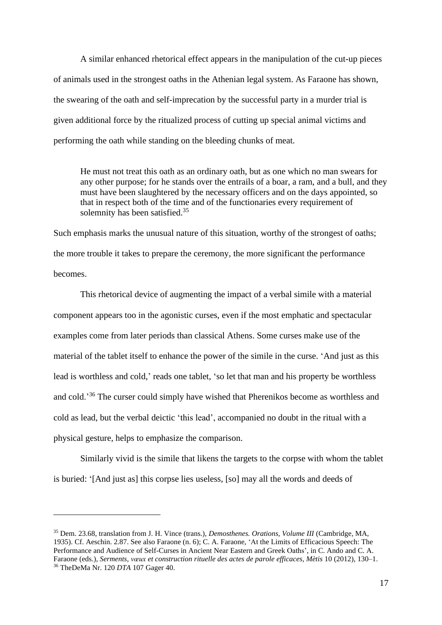A similar enhanced rhetorical effect appears in the manipulation of the cut-up pieces of animals used in the strongest oaths in the Athenian legal system. As Faraone has shown, the swearing of the oath and self-imprecation by the successful party in a murder trial is given additional force by the ritualized process of cutting up special animal victims and performing the oath while standing on the bleeding chunks of meat.

He must not treat this oath as an ordinary oath, but as one which no man swears for any other purpose; for he stands over the entrails of a boar, a ram, and a bull, and they must have been slaughtered by the necessary officers and on the days appointed, so that in respect both of the time and of the functionaries every requirement of solemnity has been satisfied.<sup>35</sup>

Such emphasis marks the unusual nature of this situation, worthy of the strongest of oaths; the more trouble it takes to prepare the ceremony, the more significant the performance becomes.

This rhetorical device of augmenting the impact of a verbal simile with a material component appears too in the agonistic curses, even if the most emphatic and spectacular examples come from later periods than classical Athens. Some curses make use of the material of the tablet itself to enhance the power of the simile in the curse. 'And just as this lead is worthless and cold,' reads one tablet, 'so let that man and his property be worthless and cold.'<sup>36</sup> The curser could simply have wished that Pherenikos become as worthless and cold as lead, but the verbal deictic 'this lead', accompanied no doubt in the ritual with a physical gesture, helps to emphasize the comparison.

Similarly vivid is the simile that likens the targets to the corpse with whom the tablet is buried: '[And just as] this corpse lies useless, [so] may all the words and deeds of

<sup>35</sup> Dem. 23.68, translation from J. H. Vince (trans.), *Demosthenes. Orations, Volume III* (Cambridge, MA, 1935). Cf. Aeschin. 2.87. See also Faraone (n. 6); C. A. Faraone, 'At the Limits of Efficacious Speech: The Performance and Audience of Self-Curses in Ancient Near Eastern and Greek Oaths', in C. Ando and C. A. Faraone (eds.), *Serments, vœux et construction rituelle des actes de parole efficaces*, *Mètis* 10 (2012), 130–1. <sup>36</sup> TheDeMa Nr. 120 *DTA* 107 Gager 40.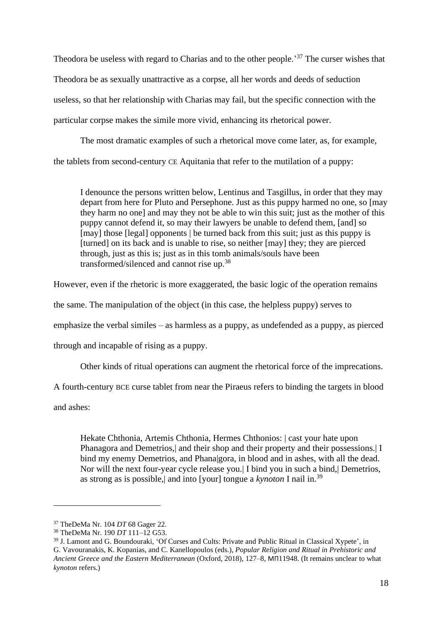Theodora be useless with regard to Charias and to the other people.<sup>37</sup> The curser wishes that Theodora be as sexually unattractive as a corpse, all her words and deeds of seduction useless, so that her relationship with Charias may fail, but the specific connection with the particular corpse makes the simile more vivid, enhancing its rhetorical power.

The most dramatic examples of such a rhetorical move come later, as, for example, the tablets from second-century CE Aquitania that refer to the mutilation of a puppy:

I denounce the persons written below, Lentinus and Tasgillus, in order that they may depart from here for Pluto and Persephone. Just as this puppy harmed no one, so [may they harm no one] and may they not be able to win this suit; just as the mother of this puppy cannot defend it, so may their lawyers be unable to defend them, [and] so [may] those [legal] opponents | be turned back from this suit; just as this puppy is [turned] on its back and is unable to rise, so neither [may] they; they are pierced through, just as this is; just as in this tomb animals/souls have been transformed/silenced and cannot rise up.<sup>38</sup>

However, even if the rhetoric is more exaggerated, the basic logic of the operation remains

the same. The manipulation of the object (in this case, the helpless puppy) serves to

emphasize the verbal similes – as harmless as a puppy, as undefended as a puppy, as pierced

through and incapable of rising as a puppy.

Other kinds of ritual operations can augment the rhetorical force of the imprecations.

A fourth-century BCE curse tablet from near the Piraeus refers to binding the targets in blood

and ashes:

Hekate Chthonia, Artemis Chthonia, Hermes Chthonios: | cast your hate upon Phanagora and Demetrios, and their shop and their property and their possessions. I bind my enemy Demetrios, and Phana|gora, in blood and in ashes, with all the dead. Nor will the next four-year cycle release you.| I bind you in such a bind,| Demetrios, as strong as is possible,| and into [your] tongue a *kynoton* I nail in.<sup>39</sup>

<sup>37</sup> TheDeMa Nr. 104 *DT* 68 Gager 22.

<sup>38</sup> TheDeMa Nr. 190 *DT* 111–12 G53.

<sup>39</sup> J. Lamont and G. Boundouraki, 'Of Curses and Cults: Private and Public Ritual in Classical Xypete', in G. Vavouranakis, K. Kopanias, and C. Kanellopoulos (eds.), *Popular Religion and Ritual in Prehistoric and Ancient Greece and the Eastern Mediterranean* (Oxford, 2018), 127–8, ΜΠ11948. (It remains unclear to what *kynoton* refers.)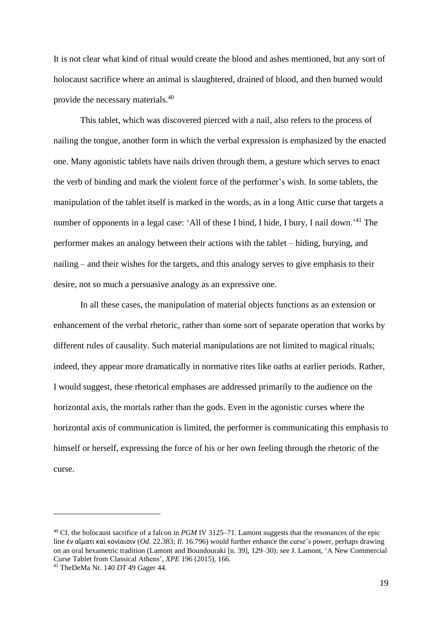It is not clear what kind of ritual would create the blood and ashes mentioned, but any sort of holocaust sacrifice where an animal is slaughtered, drained of blood, and then burned would provide the necessary materials.<sup>40</sup>

This tablet, which was discovered pierced with a nail, also refers to the process of nailing the tongue, another form in which the verbal expression is emphasized by the enacted one. Many agonistic tablets have nails driven through them, a gesture which serves to enact the verb of binding and mark the violent force of the performer's wish. In some tablets, the manipulation of the tablet itself is marked in the words, as in a long Attic curse that targets a number of opponents in a legal case: 'All of these I bind, I hide, I bury, I nail down.'<sup>41</sup> The performer makes an analogy between their actions with the tablet – hiding, burying, and nailing – and their wishes for the targets, and this analogy serves to give emphasis to their desire, not so much a persuasive analogy as an expressive one.

In all these cases, the manipulation of material objects functions as an extension or enhancement of the verbal rhetoric, rather than some sort of separate operation that works by different rules of causality. Such material manipulations are not limited to magical rituals; indeed, they appear more dramatically in normative rites like oaths at earlier periods. Rather, I would suggest, these rhetorical emphases are addressed primarily to the audience on the horizontal axis, the mortals rather than the gods. Even in the agonistic curses where the horizontal axis of communication is limited, the performer is communicating this emphasis to himself or herself, expressing the force of his or her own feeling through the rhetoric of the curse.

<sup>40</sup> Cf. the holocaust sacrifice of a falcon in *PGM* IV 3125–71. Lamont suggests that the resonances of the epic line ἐν αἵματι καὶ κονίαισιν (*Od*. 22.383; *Il*. 16.796) would further enhance the curse's power, perhaps drawing on an oral hexametric tradition (Lamont and Boundouraki [n. 39], 129–30): see J. Lamont, 'A New Commercial Curse Tablet from Classical Athens', *XPE* 196 (2015), 166.

<sup>41</sup> TheDeMa Nr. 140 *DT* 49 Gager 44.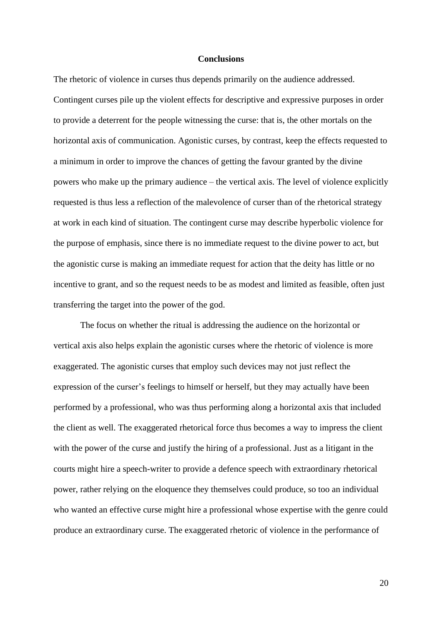#### **Conclusions**

The rhetoric of violence in curses thus depends primarily on the audience addressed. Contingent curses pile up the violent effects for descriptive and expressive purposes in order to provide a deterrent for the people witnessing the curse: that is, the other mortals on the horizontal axis of communication. Agonistic curses, by contrast, keep the effects requested to a minimum in order to improve the chances of getting the favour granted by the divine powers who make up the primary audience – the vertical axis. The level of violence explicitly requested is thus less a reflection of the malevolence of curser than of the rhetorical strategy at work in each kind of situation. The contingent curse may describe hyperbolic violence for the purpose of emphasis, since there is no immediate request to the divine power to act, but the agonistic curse is making an immediate request for action that the deity has little or no incentive to grant, and so the request needs to be as modest and limited as feasible, often just transferring the target into the power of the god.

The focus on whether the ritual is addressing the audience on the horizontal or vertical axis also helps explain the agonistic curses where the rhetoric of violence is more exaggerated. The agonistic curses that employ such devices may not just reflect the expression of the curser's feelings to himself or herself, but they may actually have been performed by a professional, who was thus performing along a horizontal axis that included the client as well. The exaggerated rhetorical force thus becomes a way to impress the client with the power of the curse and justify the hiring of a professional. Just as a litigant in the courts might hire a speech-writer to provide a defence speech with extraordinary rhetorical power, rather relying on the eloquence they themselves could produce, so too an individual who wanted an effective curse might hire a professional whose expertise with the genre could produce an extraordinary curse. The exaggerated rhetoric of violence in the performance of

20